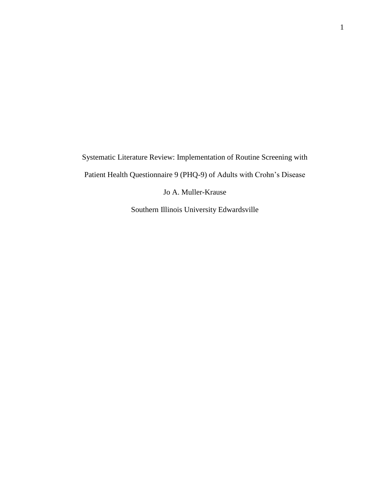Systematic Literature Review: Implementation of Routine Screening with Patient Health Questionnaire 9 (PHQ-9) of Adults with Crohn's Disease Jo A. Muller-Krause

Southern Illinois University Edwardsville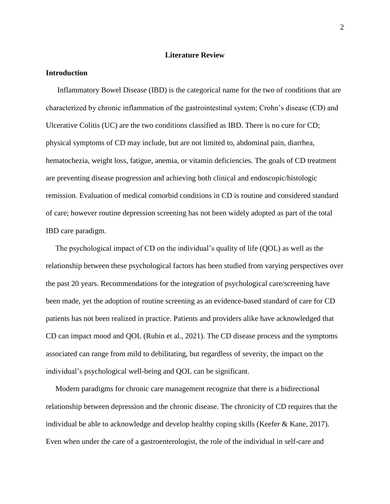#### **Literature Review**

#### **Introduction**

 Inflammatory Bowel Disease (IBD) is the categorical name for the two of conditions that are characterized by chronic inflammation of the gastrointestinal system; Crohn's disease (CD) and Ulcerative Colitis (UC) are the two conditions classified as IBD. There is no cure for CD; physical symptoms of CD may include, but are not limited to, abdominal pain, diarrhea, hematochezia, weight loss, fatigue, anemia, or vitamin deficiencies. The goals of CD treatment are preventing disease progression and achieving both clinical and endoscopic/histologic remission. Evaluation of medical comorbid conditions in CD is routine and considered standard of care; however routine depression screening has not been widely adopted as part of the total IBD care paradigm.

 The psychological impact of CD on the individual's quality of life (QOL) as well as the relationship between these psychological factors has been studied from varying perspectives over the past 20 years. Recommendations for the integration of psychological care/screening have been made, yet the adoption of routine screening as an evidence-based standard of care for CD patients has not been realized in practice. Patients and providers alike have acknowledged that CD can impact mood and QOL (Rubin et al., 2021). The CD disease process and the symptoms associated can range from mild to debilitating, but regardless of severity, the impact on the individual's psychological well-being and QOL can be significant.

 Modern paradigms for chronic care management recognize that there is a bidirectional relationship between depression and the chronic disease. The chronicity of CD requires that the individual be able to acknowledge and develop healthy coping skills (Keefer & Kane, 2017). Even when under the care of a gastroenterologist, the role of the individual in self-care and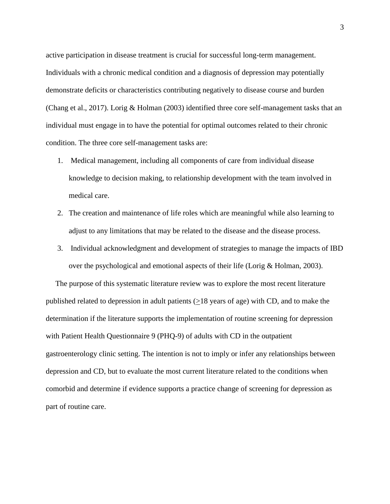active participation in disease treatment is crucial for successful long-term management. Individuals with a chronic medical condition and a diagnosis of depression may potentially demonstrate deficits or characteristics contributing negatively to disease course and burden (Chang et al., 2017). Lorig & Holman (2003) identified three core self-management tasks that an individual must engage in to have the potential for optimal outcomes related to their chronic condition. The three core self-management tasks are:

- 1. Medical management, including all components of care from individual disease knowledge to decision making, to relationship development with the team involved in medical care.
- 2. The creation and maintenance of life roles which are meaningful while also learning to adjust to any limitations that may be related to the disease and the disease process.
- 3. Individual acknowledgment and development of strategies to manage the impacts of IBD over the psychological and emotional aspects of their life (Lorig & Holman, 2003).

 The purpose of this systematic literature review was to explore the most recent literature published related to depression in adult patients  $(\geq 18$  years of age) with CD, and to make the determination if the literature supports the implementation of routine screening for depression with Patient Health Questionnaire 9 (PHQ-9) of adults with CD in the outpatient gastroenterology clinic setting. The intention is not to imply or infer any relationships between depression and CD, but to evaluate the most current literature related to the conditions when comorbid and determine if evidence supports a practice change of screening for depression as part of routine care.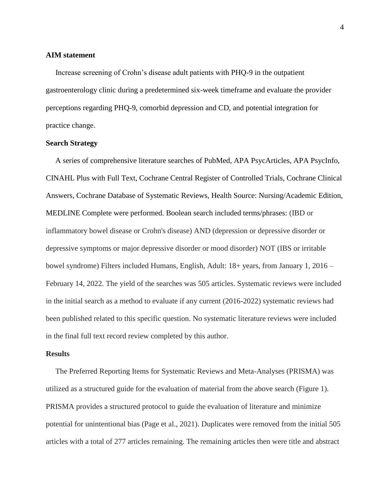#### **AIM statement**

 Increase screening of Crohn's disease adult patients with PHQ-9 in the outpatient gastroenterology clinic during a predetermined six-week timeframe and evaluate the provider perceptions regarding PHQ-9, comorbid depression and CD, and potential integration for practice change.

# **Search Strategy**

 A series of comprehensive literature searches of PubMed, APA PsycArticles, APA PsycInfo, CINAHL Plus with Full Text, Cochrane Central Register of Controlled Trials, Cochrane Clinical Answers, Cochrane Database of Systematic Reviews, Health Source: Nursing/Academic Edition, MEDLINE Complete were performed. Boolean search included terms/phrases: (IBD or inflammatory bowel disease or Crohn's disease) AND (depression or depressive disorder or depressive symptoms or major depressive disorder or mood disorder) NOT (IBS or irritable bowel syndrome) Filters included Humans, English, Adult: 18+ years, from January 1, 2016 – February 14, 2022. The yield of the searches was 505 articles. Systematic reviews were included in the initial search as a method to evaluate if any current (2016-2022) systematic reviews had been published related to this specific question. No systematic literature reviews were included in the final full text record review completed by this author.

# **Results**

 The Preferred Reporting Items for Systematic Reviews and Meta-Analyses (PRISMA) was utilized as a structured guide for the evaluation of material from the above search (Figure 1). PRISMA provides a structured protocol to guide the evaluation of literature and minimize potential for unintentional bias (Page et al., 2021). Duplicates were removed from the initial 505 articles with a total of 277 articles remaining. The remaining articles then were title and abstract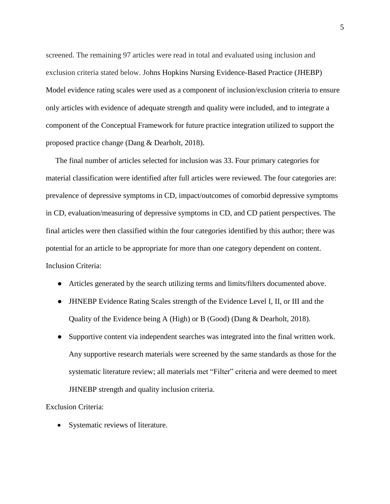screened. The remaining 97 articles were read in total and evaluated using inclusion and exclusion criteria stated below. Johns Hopkins Nursing Evidence-Based Practice (JHEBP) Model evidence rating scales were used as a component of inclusion/exclusion criteria to ensure only articles with evidence of adequate strength and quality were included, and to integrate a component of the Conceptual Framework for future practice integration utilized to support the proposed practice change (Dang & Dearholt, 2018).

 The final number of articles selected for inclusion was 33. Four primary categories for material classification were identified after full articles were reviewed. The four categories are: prevalence of depressive symptoms in CD, impact/outcomes of comorbid depressive symptoms in CD, evaluation/measuring of depressive symptoms in CD, and CD patient perspectives. The final articles were then classified within the four categories identified by this author; there was potential for an article to be appropriate for more than one category dependent on content. Inclusion Criteria:

- Articles generated by the search utilizing terms and limits/filters documented above.
- JHNEBP Evidence Rating Scales strength of the Evidence Level I, II, or III and the Quality of the Evidence being A (High) or B (Good) (Dang & Dearholt, 2018).
- Supportive content via independent searches was integrated into the final written work. Any supportive research materials were screened by the same standards as those for the systematic literature review; all materials met "Filter" criteria and were deemed to meet JHNEBP strength and quality inclusion criteria.

# Exclusion Criteria:

• Systematic reviews of literature.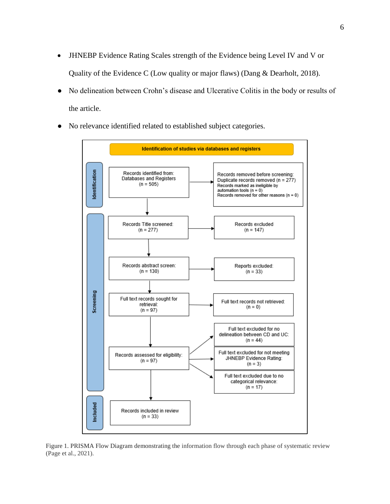- JHNEBP Evidence Rating Scales strength of the Evidence being Level IV and V or Quality of the Evidence C (Low quality or major flaws) (Dang & Dearholt, 2018).
- No delineation between Crohn's disease and Ulcerative Colitis in the body or results of the article.
- No relevance identified related to established subject categories.



Figure 1. PRISMA Flow Diagram demonstrating the information flow through each phase of systematic review (Page et al., 2021).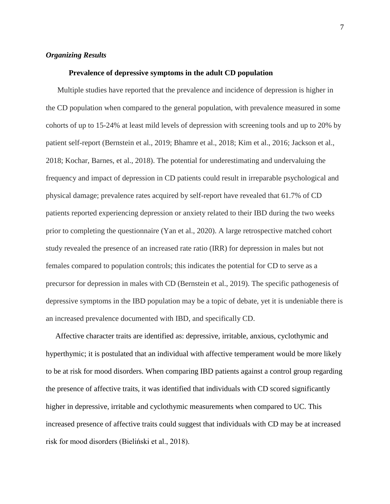# *Organizing Results*

#### **Prevalence of depressive symptoms in the adult CD population**

 Multiple studies have reported that the prevalence and incidence of depression is higher in the CD population when compared to the general population, with prevalence measured in some cohorts of up to 15-24% at least mild levels of depression with screening tools and up to 20% by patient self-report (Bernstein et al., 2019; Bhamre et al., 2018; Kim et al., 2016; Jackson et al., 2018; Kochar, Barnes, et al., 2018). The potential for underestimating and undervaluing the frequency and impact of depression in CD patients could result in irreparable psychological and physical damage; prevalence rates acquired by self-report have revealed that 61.7% of CD patients reported experiencing depression or anxiety related to their IBD during the two weeks prior to completing the questionnaire (Yan et al., 2020). A large retrospective matched cohort study revealed the presence of an increased rate ratio (IRR) for depression in males but not females compared to population controls; this indicates the potential for CD to serve as a precursor for depression in males with CD (Bernstein et al., 2019). The specific pathogenesis of depressive symptoms in the IBD population may be a topic of debate, yet it is undeniable there is an increased prevalence documented with IBD, and specifically CD.

 Affective character traits are identified as: depressive, irritable, anxious, cyclothymic and hyperthymic; it is postulated that an individual with affective temperament would be more likely to be at risk for mood disorders. When comparing IBD patients against a control group regarding the presence of affective traits, it was identified that individuals with CD scored significantly higher in depressive, irritable and cyclothymic measurements when compared to UC. This increased presence of affective traits could suggest that individuals with CD may be at increased risk for mood disorders (Bieliński et al., 2018).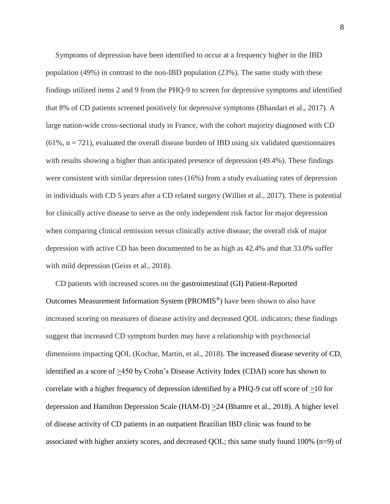Symptoms of depression have been identified to occur at a frequency higher in the IBD population (49%) in contrast to the non-IBD population (23%). The same study with these findings utilized items 2 and 9 from the PHQ-9 to screen for depressive symptoms and identified that 8% of CD patients screened positively for depressive symptoms (Bhandari et al., 2017). A large nation-wide cross-sectional study in France, with the cohort majority diagnosed with CD  $(61\%, n = 721)$ , evaluated the overall disease burden of IBD using six validated questionnaires with results showing a higher than anticipated presence of depression (49.4%). These findings were consistent with similar depression rates (16%) from a study evaluating rates of depression in individuals with CD 5 years after a CD related surgery (Williet et al., 2017). There is potential for clinically active disease to serve as the only independent risk factor for major depression when comparing clinical remission versus clinically active disease; the overall risk of major depression with active CD has been documented to be as high as 42.4% and that 33.0% suffer with mild depression (Geiss et al., 2018).

 CD patients with increased scores on the gastrointestinal (GI) Patient-Reported Outcomes Measurement Information System (PROMIS®) have been shown to also have increased scoring on measures of disease activity and decreased QOL indicators; these findings suggest that increased CD symptom burden may have a relationship with psychosocial dimensions impacting QOL (Kochar, Martin, et al., 2018). The increased disease severity of CD, identified as a score of >450 by Crohn's Disease Activity Index (CDAI) score has shown to correlate with a higher frequency of depression identified by a PHQ-9 cut off score of  $\geq$ 10 for depression and Hamilton Depression Scale (HAM-D) >24 (Bhamre et al., 2018). A higher level of disease activity of CD patients in an outpatient Brazilian IBD clinic was found to be associated with higher anxiety scores, and decreased QOL; this same study found 100% (n=9) of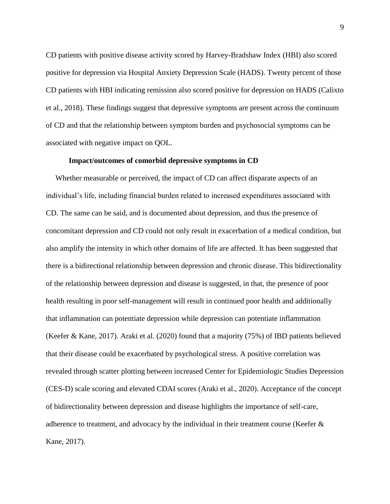CD patients with positive disease activity scored by Harvey-Bradshaw Index (HBI) also scored positive for depression via Hospital Anxiety Depression Scale (HADS). Twenty percent of those CD patients with HBI indicating remission also scored positive for depression on HADS (Calixto et al., 2018). These findings suggest that depressive symptoms are present across the continuum of CD and that the relationship between symptom burden and psychosocial symptoms can be associated with negative impact on QOL.

# **Impact/outcomes of comorbid depressive symptoms in CD**

 Whether measurable or perceived, the impact of CD can affect disparate aspects of an individual's life, including financial burden related to increased expenditures associated with CD. The same can be said, and is documented about depression, and thus the presence of concomitant depression and CD could not only result in exacerbation of a medical condition, but also amplify the intensity in which other domains of life are affected. It has been suggested that there is a bidirectional relationship between depression and chronic disease. This bidirectionality of the relationship between depression and disease is suggested, in that, the presence of poor health resulting in poor self-management will result in continued poor health and additionally that inflammation can potentiate depression while depression can potentiate inflammation (Keefer & Kane, 2017). Araki et al. (2020) found that a majority (75%) of IBD patients believed that their disease could be exacerbated by psychological stress. A positive correlation was revealed through scatter plotting between increased Center for Epidemiologic Studies Depression (CES-D) scale scoring and elevated CDAI scores (Araki et al., 2020). Acceptance of the concept of bidirectionality between depression and disease highlights the importance of self-care, adherence to treatment, and advocacy by the individual in their treatment course (Keefer  $\&$ Kane, 2017).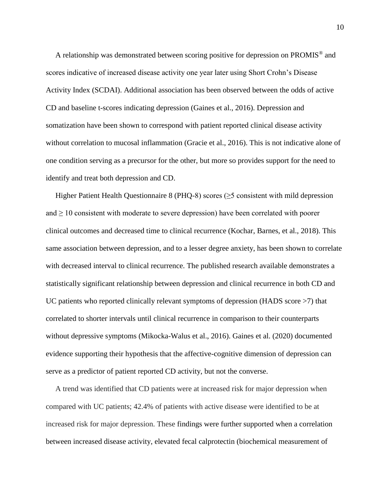A relationship was demonstrated between scoring positive for depression on PROMIS® and scores indicative of increased disease activity one year later using Short Crohn's Disease Activity Index (SCDAI). Additional association has been observed between the odds of active CD and baseline t-scores indicating depression (Gaines et al., 2016). Depression and somatization have been shown to correspond with patient reported clinical disease activity without correlation to mucosal inflammation (Gracie et al., 2016). This is not indicative alone of one condition serving as a precursor for the other, but more so provides support for the need to identify and treat both depression and CD.

Higher Patient Health Questionnaire 8 (PHQ-8) scores ( $\geq$ 5 consistent with mild depression and  $\geq 10$  consistent with moderate to severe depression) have been correlated with poorer clinical outcomes and decreased time to clinical recurrence (Kochar, Barnes, et al., 2018). This same association between depression, and to a lesser degree anxiety, has been shown to correlate with decreased interval to clinical recurrence. The published research available demonstrates a statistically significant relationship between depression and clinical recurrence in both CD and UC patients who reported clinically relevant symptoms of depression (HADS score  $>7$ ) that correlated to shorter intervals until clinical recurrence in comparison to their counterparts without depressive symptoms (Mikocka-Walus et al., 2016). Gaines et al. (2020) documented evidence supporting their hypothesis that the affective-cognitive dimension of depression can serve as a predictor of patient reported CD activity, but not the converse.

 A trend was identified that CD patients were at increased risk for major depression when compared with UC patients; 42.4% of patients with active disease were identified to be at increased risk for major depression. These findings were further supported when a correlation between increased disease activity, elevated fecal calprotectin (biochemical measurement of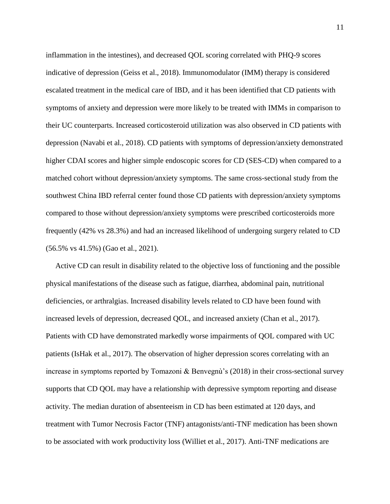inflammation in the intestines), and decreased QOL scoring correlated with PHQ-9 scores indicative of depression (Geiss et al., 2018). Immunomodulator (IMM) therapy is considered escalated treatment in the medical care of IBD, and it has been identified that CD patients with symptoms of anxiety and depression were more likely to be treated with IMMs in comparison to their UC counterparts. Increased corticosteroid utilization was also observed in CD patients with depression (Navabi et al., 2018). CD patients with symptoms of depression/anxiety demonstrated higher CDAI scores and higher simple endoscopic scores for CD (SES-CD) when compared to a matched cohort without depression/anxiety symptoms. The same cross-sectional study from the southwest China IBD referral center found those CD patients with depression/anxiety symptoms compared to those without depression/anxiety symptoms were prescribed corticosteroids more frequently (42% vs 28.3%) and had an increased likelihood of undergoing surgery related to CD (56.5% vs 41.5%) (Gao et al., 2021).

 Active CD can result in disability related to the objective loss of functioning and the possible physical manifestations of the disease such as fatigue, diarrhea, abdominal pain, nutritional deficiencies, or arthralgias. Increased disability levels related to CD have been found with increased levels of depression, decreased QOL, and increased anxiety (Chan et al., 2017). Patients with CD have demonstrated markedly worse impairments of QOL compared with UC patients (IsHak et al., 2017). The observation of higher depression scores correlating with an increase in symptoms reported by Tomazoni & Benvegnù's (2018) in their cross-sectional survey supports that CD QOL may have a relationship with depressive symptom reporting and disease activity. The median duration of absenteeism in CD has been estimated at 120 days, and treatment with Tumor Necrosis Factor (TNF) antagonists/anti-TNF medication has been shown to be associated with work productivity loss (Williet et al., 2017). Anti-TNF medications are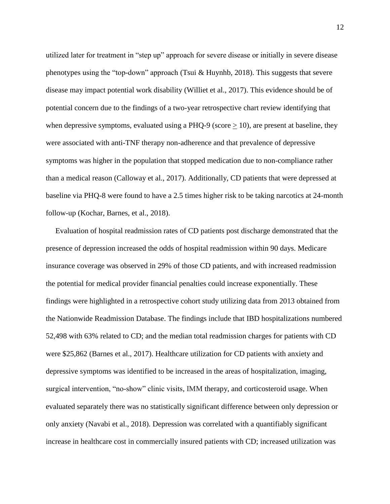utilized later for treatment in "step up" approach for severe disease or initially in severe disease phenotypes using the "top-down" approach (Tsui  $\&$  Huynhb, 2018). This suggests that severe disease may impact potential work disability (Williet et al., 2017). This evidence should be of potential concern due to the findings of a two-year retrospective chart review identifying that when depressive symptoms, evaluated using a PHQ-9 (score  $\geq$  10), are present at baseline, they were associated with anti-TNF therapy non-adherence and that prevalence of depressive symptoms was higher in the population that stopped medication due to non-compliance rather than a medical reason (Calloway et al., 2017). Additionally, CD patients that were depressed at baseline via PHQ-8 were found to have a 2.5 times higher risk to be taking narcotics at 24-month follow-up (Kochar, Barnes, et al., 2018).

 Evaluation of hospital readmission rates of CD patients post discharge demonstrated that the presence of depression increased the odds of hospital readmission within 90 days. Medicare insurance coverage was observed in 29% of those CD patients, and with increased readmission the potential for medical provider financial penalties could increase exponentially. These findings were highlighted in a retrospective cohort study utilizing data from 2013 obtained from the Nationwide Readmission Database. The findings include that IBD hospitalizations numbered 52,498 with 63% related to CD; and the median total readmission charges for patients with CD were \$25,862 (Barnes et al., 2017). Healthcare utilization for CD patients with anxiety and depressive symptoms was identified to be increased in the areas of hospitalization, imaging, surgical intervention, "no-show" clinic visits, IMM therapy, and corticosteroid usage. When evaluated separately there was no statistically significant difference between only depression or only anxiety (Navabi et al., 2018). Depression was correlated with a quantifiably significant increase in healthcare cost in commercially insured patients with CD; increased utilization was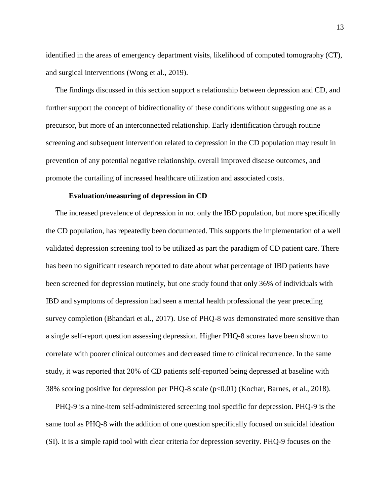identified in the areas of emergency department visits, likelihood of computed tomography (CT), and surgical interventions (Wong et al., 2019).

 The findings discussed in this section support a relationship between depression and CD, and further support the concept of bidirectionality of these conditions without suggesting one as a precursor, but more of an interconnected relationship. Early identification through routine screening and subsequent intervention related to depression in the CD population may result in prevention of any potential negative relationship, overall improved disease outcomes, and promote the curtailing of increased healthcare utilization and associated costs.

### **Evaluation/measuring of depression in CD**

 The increased prevalence of depression in not only the IBD population, but more specifically the CD population, has repeatedly been documented. This supports the implementation of a well validated depression screening tool to be utilized as part the paradigm of CD patient care. There has been no significant research reported to date about what percentage of IBD patients have been screened for depression routinely, but one study found that only 36% of individuals with IBD and symptoms of depression had seen a mental health professional the year preceding survey completion (Bhandari et al., 2017). Use of PHQ-8 was demonstrated more sensitive than a single self-report question assessing depression. Higher PHQ-8 scores have been shown to correlate with poorer clinical outcomes and decreased time to clinical recurrence. In the same study, it was reported that 20% of CD patients self-reported being depressed at baseline with 38% scoring positive for depression per PHQ-8 scale  $(p<0.01)$  (Kochar, Barnes, et al., 2018).

 PHQ-9 is a nine-item self-administered screening tool specific for depression. PHQ-9 is the same tool as PHQ-8 with the addition of one question specifically focused on suicidal ideation (SI). It is a simple rapid tool with clear criteria for depression severity. PHQ-9 focuses on the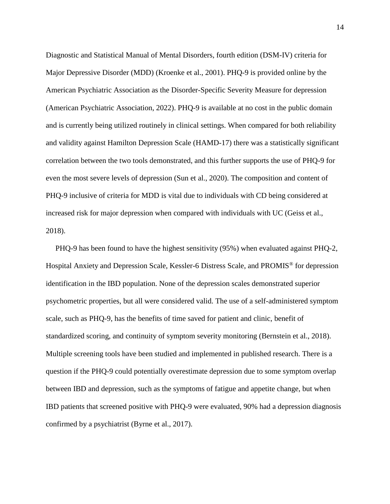Diagnostic and Statistical Manual of Mental Disorders, fourth edition (DSM-IV) criteria for Major Depressive Disorder (MDD) (Kroenke et al., 2001). PHQ-9 is provided online by the American Psychiatric Association as the Disorder-Specific Severity Measure for depression (American Psychiatric Association, 2022). PHQ-9 is available at no cost in the public domain and is currently being utilized routinely in clinical settings. When compared for both reliability and validity against Hamilton Depression Scale (HAMD-17) there was a statistically significant correlation between the two tools demonstrated, and this further supports the use of PHQ-9 for even the most severe levels of depression (Sun et al., 2020). The composition and content of PHQ-9 inclusive of criteria for MDD is vital due to individuals with CD being considered at increased risk for major depression when compared with individuals with UC (Geiss et al., 2018).

 PHQ-9 has been found to have the highest sensitivity (95%) when evaluated against PHQ-2, Hospital Anxiety and Depression Scale, Kessler-6 Distress Scale, and PROMIS® for depression identification in the IBD population. None of the depression scales demonstrated superior psychometric properties, but all were considered valid. The use of a self-administered symptom scale, such as PHQ-9, has the benefits of time saved for patient and clinic, benefit of standardized scoring, and continuity of symptom severity monitoring (Bernstein et al., 2018). Multiple screening tools have been studied and implemented in published research. There is a question if the PHQ-9 could potentially overestimate depression due to some symptom overlap between IBD and depression, such as the symptoms of fatigue and appetite change, but when IBD patients that screened positive with PHQ-9 were evaluated, 90% had a depression diagnosis confirmed by a psychiatrist (Byrne et al., 2017).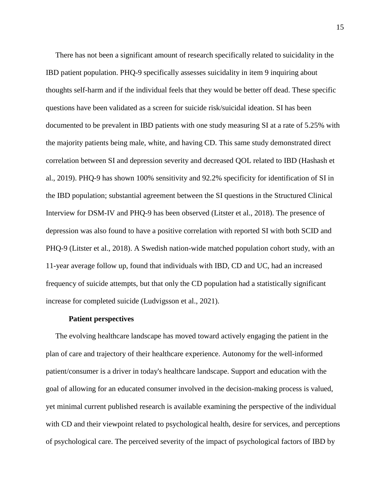There has not been a significant amount of research specifically related to suicidality in the IBD patient population. PHQ-9 specifically assesses suicidality in item 9 inquiring about thoughts self-harm and if the individual feels that they would be better off dead. These specific questions have been validated as a screen for suicide risk/suicidal ideation. SI has been documented to be prevalent in IBD patients with one study measuring SI at a rate of 5.25% with the majority patients being male, white, and having CD. This same study demonstrated direct correlation between SI and depression severity and decreased QOL related to IBD (Hashash et al., 2019). PHQ-9 has shown 100% sensitivity and 92.2% specificity for identification of SI in the IBD population; substantial agreement between the SI questions in the Structured Clinical Interview for DSM-IV and PHQ-9 has been observed (Litster et al., 2018). The presence of depression was also found to have a positive correlation with reported SI with both SCID and PHQ-9 (Litster et al., 2018). A Swedish nation-wide matched population cohort study, with an 11-year average follow up, found that individuals with IBD, CD and UC, had an increased frequency of suicide attempts, but that only the CD population had a statistically significant increase for completed suicide (Ludvigsson et al., 2021).

## **Patient perspectives**

 The evolving healthcare landscape has moved toward actively engaging the patient in the plan of care and trajectory of their healthcare experience. Autonomy for the well-informed patient/consumer is a driver in today's healthcare landscape. Support and education with the goal of allowing for an educated consumer involved in the decision-making process is valued, yet minimal current published research is available examining the perspective of the individual with CD and their viewpoint related to psychological health, desire for services, and perceptions of psychological care. The perceived severity of the impact of psychological factors of IBD by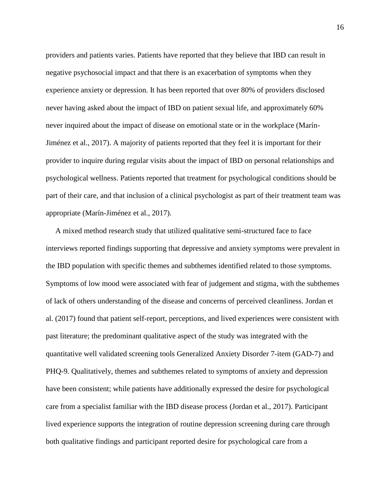providers and patients varies. Patients have reported that they believe that IBD can result in negative psychosocial impact and that there is an exacerbation of symptoms when they experience anxiety or depression. It has been reported that over 80% of providers disclosed never having asked about the impact of IBD on patient sexual life, and approximately 60% never inquired about the impact of disease on emotional state or in the workplace (Marín-Jiménez et al., 2017). A majority of patients reported that they feel it is important for their provider to inquire during regular visits about the impact of IBD on personal relationships and psychological wellness. Patients reported that treatment for psychological conditions should be part of their care, and that inclusion of a clinical psychologist as part of their treatment team was appropriate (Marín-Jiménez et al., 2017).

 A mixed method research study that utilized qualitative semi-structured face to face interviews reported findings supporting that depressive and anxiety symptoms were prevalent in the IBD population with specific themes and subthemes identified related to those symptoms. Symptoms of low mood were associated with fear of judgement and stigma, with the subthemes of lack of others understanding of the disease and concerns of perceived cleanliness. Jordan et al. (2017) found that patient self-report, perceptions, and lived experiences were consistent with past literature; the predominant qualitative aspect of the study was integrated with the quantitative well validated screening tools Generalized Anxiety Disorder 7-item (GAD-7) and PHQ-9. Qualitatively, themes and subthemes related to symptoms of anxiety and depression have been consistent; while patients have additionally expressed the desire for psychological care from a specialist familiar with the IBD disease process (Jordan et al., 2017). Participant lived experience supports the integration of routine depression screening during care through both qualitative findings and participant reported desire for psychological care from a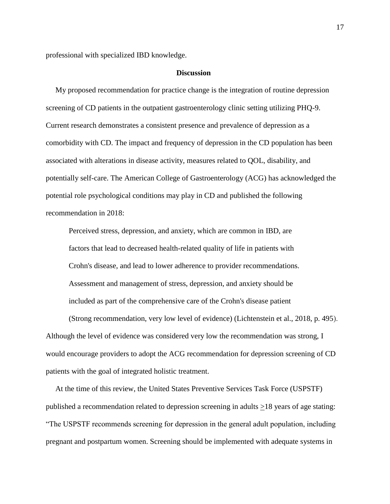professional with specialized IBD knowledge.

#### **Discussion**

 My proposed recommendation for practice change is the integration of routine depression screening of CD patients in the outpatient gastroenterology clinic setting utilizing PHQ-9. Current research demonstrates a consistent presence and prevalence of depression as a comorbidity with CD. The impact and frequency of depression in the CD population has been associated with alterations in disease activity, measures related to QOL, disability, and potentially self-care. The American College of Gastroenterology (ACG) has acknowledged the potential role psychological conditions may play in CD and published the following recommendation in 2018:

Perceived stress, depression, and anxiety, which are common in IBD, are factors that lead to decreased health-related quality of life in patients with Crohn's disease, and lead to lower adherence to provider recommendations. Assessment and management of stress, depression, and anxiety should be included as part of the comprehensive care of the Crohn's disease patient

(Strong recommendation, very low level of evidence) (Lichtenstein et al., 2018, p. 495). Although the level of evidence was considered very low the recommendation was strong, I would encourage providers to adopt the ACG recommendation for depression screening of CD patients with the goal of integrated holistic treatment.

 At the time of this review, the United States Preventive Services Task Force (USPSTF) published a recommendation related to depression screening in adults >18 years of age stating: "The USPSTF recommends screening for depression in the general adult population, including pregnant and postpartum women. Screening should be implemented with adequate systems in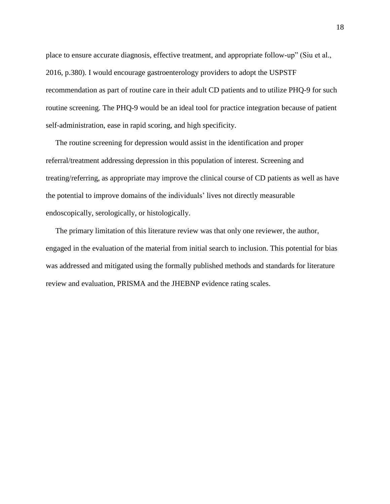place to ensure accurate diagnosis, effective treatment, and appropriate follow-up" (Siu et al., 2016, p.380). I would encourage gastroenterology providers to adopt the USPSTF recommendation as part of routine care in their adult CD patients and to utilize PHQ-9 for such routine screening. The PHQ-9 would be an ideal tool for practice integration because of patient self-administration, ease in rapid scoring, and high specificity.

 The routine screening for depression would assist in the identification and proper referral/treatment addressing depression in this population of interest. Screening and treating/referring, as appropriate may improve the clinical course of CD patients as well as have the potential to improve domains of the individuals' lives not directly measurable endoscopically, serologically, or histologically.

 The primary limitation of this literature review was that only one reviewer, the author, engaged in the evaluation of the material from initial search to inclusion. This potential for bias was addressed and mitigated using the formally published methods and standards for literature review and evaluation, PRISMA and the JHEBNP evidence rating scales.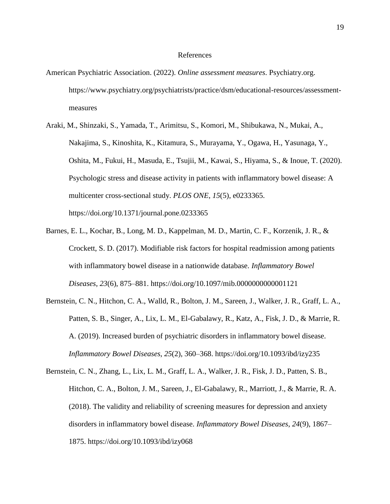#### References

- American Psychiatric Association. (2022). *Online assessment measures*. Psychiatry.org. https://www.psychiatry.org/psychiatrists/practice/dsm/educational-resources/assessmentmeasures
- Araki, M., Shinzaki, S., Yamada, T., Arimitsu, S., Komori, M., Shibukawa, N., Mukai, A., Nakajima, S., Kinoshita, K., Kitamura, S., Murayama, Y., Ogawa, H., Yasunaga, Y., Oshita, M., Fukui, H., Masuda, E., Tsujii, M., Kawai, S., Hiyama, S., & Inoue, T. (2020). Psychologic stress and disease activity in patients with inflammatory bowel disease: A multicenter cross-sectional study. *PLOS ONE*, *15*(5), e0233365. https://doi.org/10.1371/journal.pone.0233365
- Barnes, E. L., Kochar, B., Long, M. D., Kappelman, M. D., Martin, C. F., Korzenik, J. R., & Crockett, S. D. (2017). Modifiable risk factors for hospital readmission among patients with inflammatory bowel disease in a nationwide database. *Inflammatory Bowel Diseases*, *23*(6), 875–881. https://doi.org/10.1097/mib.0000000000001121
- Bernstein, C. N., Hitchon, C. A., Walld, R., Bolton, J. M., Sareen, J., Walker, J. R., Graff, L. A., Patten, S. B., Singer, A., Lix, L. M., El-Gabalawy, R., Katz, A., Fisk, J. D., & Marrie, R. A. (2019). Increased burden of psychiatric disorders in inflammatory bowel disease. *Inflammatory Bowel Diseases*, *25*(2), 360–368. https://doi.org/10.1093/ibd/izy235
- Bernstein, C. N., Zhang, L., Lix, L. M., Graff, L. A., Walker, J. R., Fisk, J. D., Patten, S. B., Hitchon, C. A., Bolton, J. M., Sareen, J., El-Gabalawy, R., Marriott, J., & Marrie, R. A. (2018). The validity and reliability of screening measures for depression and anxiety disorders in inflammatory bowel disease. *Inflammatory Bowel Diseases*, *24*(9), 1867– 1875. https://doi.org/10.1093/ibd/izy068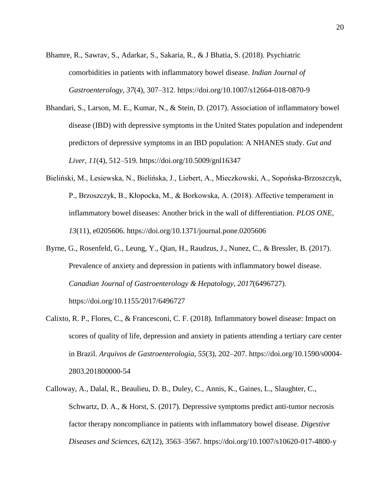- Bhamre, R., Sawrav, S., Adarkar, S., Sakaria, R., & J Bhatia, S. (2018). Psychiatric comorbidities in patients with inflammatory bowel disease. *Indian Journal of Gastroenterology*, *37*(4), 307–312. https://doi.org/10.1007/s12664-018-0870-9
- Bhandari, S., Larson, M. E., Kumar, N., & Stein, D. (2017). Association of inflammatory bowel disease (IBD) with depressive symptoms in the United States population and independent predictors of depressive symptoms in an IBD population: A NHANES study. *Gut and Liver*, *11*(4), 512–519. https://doi.org/10.5009/gnl16347
- Bieliński, M., Lesiewska, N., Bielińska, J., Liebert, A., Mieczkowski, A., Sopońska-Brzoszczyk, P., Brzoszczyk, B., Kłopocka, M., & Borkowska, A. (2018). Affective temperament in inflammatory bowel diseases: Another brick in the wall of differentiation. *PLOS ONE*, *13*(11), e0205606. https://doi.org/10.1371/journal.pone.0205606
- Byrne, G., Rosenfeld, G., Leung, Y., Qian, H., Raudzus, J., Nunez, C., & Bressler, B. (2017). Prevalence of anxiety and depression in patients with inflammatory bowel disease. *Canadian Journal of Gastroenterology & Hepatology*, *2017*(6496727). https://doi.org/10.1155/2017/6496727
- Calixto, R. P., Flores, C., & Francesconi, C. F. (2018). Inflammatory bowel disease: Impact on scores of quality of life, depression and anxiety in patients attending a tertiary care center in Brazil. *Arquivos de Gastroenterologia*, *55*(3), 202–207. https://doi.org/10.1590/s0004- 2803.201800000-54
- Calloway, A., Dalal, R., Beaulieu, D. B., Duley, C., Annis, K., Gaines, L., Slaughter, C., Schwartz, D. A., & Horst, S. (2017). Depressive symptoms predict anti-tumor necrosis factor therapy noncompliance in patients with inflammatory bowel disease. *Digestive Diseases and Sciences*, *62*(12), 3563–3567. https://doi.org/10.1007/s10620-017-4800-y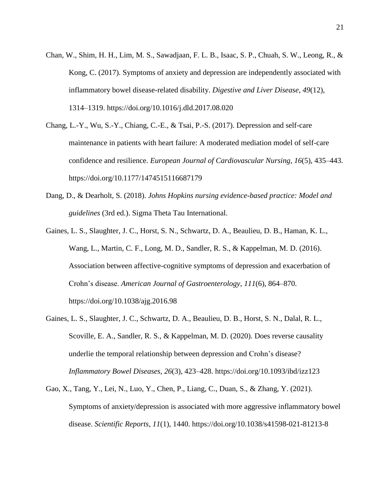- Chan, W., Shim, H. H., Lim, M. S., Sawadjaan, F. L. B., Isaac, S. P., Chuah, S. W., Leong, R., & Kong, C. (2017). Symptoms of anxiety and depression are independently associated with inflammatory bowel disease-related disability. *Digestive and Liver Disease*, *49*(12), 1314–1319. https://doi.org/10.1016/j.dld.2017.08.020
- Chang, L.-Y., Wu, S.-Y., Chiang, C.-E., & Tsai, P.-S. (2017). Depression and self-care maintenance in patients with heart failure: A moderated mediation model of self-care confidence and resilience. *European Journal of Cardiovascular Nursing*, *16*(5), 435–443. https://doi.org/10.1177/1474515116687179
- Dang, D., & Dearholt, S. (2018). *Johns Hopkins nursing evidence-based practice: Model and guidelines* (3rd ed.). Sigma Theta Tau International.
- Gaines, L. S., Slaughter, J. C., Horst, S. N., Schwartz, D. A., Beaulieu, D. B., Haman, K. L., Wang, L., Martin, C. F., Long, M. D., Sandler, R. S., & Kappelman, M. D. (2016). Association between affective-cognitive symptoms of depression and exacerbation of Crohn's disease. *American Journal of Gastroenterology*, *111*(6), 864–870. https://doi.org/10.1038/ajg.2016.98
- Gaines, L. S., Slaughter, J. C., Schwartz, D. A., Beaulieu, D. B., Horst, S. N., Dalal, R. L., Scoville, E. A., Sandler, R. S., & Kappelman, M. D. (2020). Does reverse causality underlie the temporal relationship between depression and Crohn's disease? *Inflammatory Bowel Diseases*, *26*(3), 423–428. https://doi.org/10.1093/ibd/izz123
- Gao, X., Tang, Y., Lei, N., Luo, Y., Chen, P., Liang, C., Duan, S., & Zhang, Y. (2021). Symptoms of anxiety/depression is associated with more aggressive inflammatory bowel disease. *Scientific Reports*, *11*(1), 1440. https://doi.org/10.1038/s41598-021-81213-8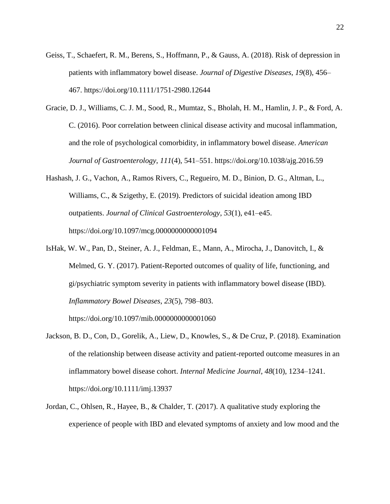- Geiss, T., Schaefert, R. M., Berens, S., Hoffmann, P., & Gauss, A. (2018). Risk of depression in patients with inflammatory bowel disease. *Journal of Digestive Diseases*, *19*(8), 456– 467. https://doi.org/10.1111/1751-2980.12644
- Gracie, D. J., Williams, C. J. M., Sood, R., Mumtaz, S., Bholah, H. M., Hamlin, J. P., & Ford, A. C. (2016). Poor correlation between clinical disease activity and mucosal inflammation, and the role of psychological comorbidity, in inflammatory bowel disease. *American Journal of Gastroenterology*, *111*(4), 541–551. https://doi.org/10.1038/ajg.2016.59
- Hashash, J. G., Vachon, A., Ramos Rivers, C., Regueiro, M. D., Binion, D. G., Altman, L., Williams, C., & Szigethy, E. (2019). Predictors of suicidal ideation among IBD outpatients. *Journal of Clinical Gastroenterology*, *53*(1), e41–e45. https://doi.org/10.1097/mcg.0000000000001094
- IsHak, W. W., Pan, D., Steiner, A. J., Feldman, E., Mann, A., Mirocha, J., Danovitch, I., & Melmed, G. Y. (2017). Patient-Reported outcomes of quality of life, functioning, and gi/psychiatric symptom severity in patients with inflammatory bowel disease (IBD). *Inflammatory Bowel Diseases*, *23*(5), 798–803.

https://doi.org/10.1097/mib.0000000000001060

- Jackson, B. D., Con, D., Gorelik, A., Liew, D., Knowles, S., & De Cruz, P. (2018). Examination of the relationship between disease activity and patient-reported outcome measures in an inflammatory bowel disease cohort. *Internal Medicine Journal*, *48*(10), 1234–1241. https://doi.org/10.1111/imj.13937
- Jordan, C., Ohlsen, R., Hayee, B., & Chalder, T. (2017). A qualitative study exploring the experience of people with IBD and elevated symptoms of anxiety and low mood and the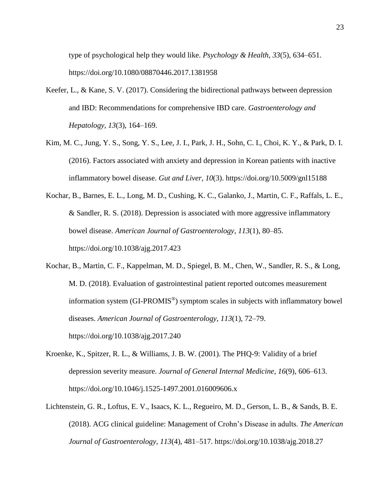type of psychological help they would like. *Psychology & Health*, *33*(5), 634–651. https://doi.org/10.1080/08870446.2017.1381958

- Keefer, L., & Kane, S. V. (2017). Considering the bidirectional pathways between depression and IBD: Recommendations for comprehensive IBD care. *Gastroenterology and Hepatology*, *13*(3), 164–169.
- Kim, M. C., Jung, Y. S., Song, Y. S., Lee, J. I., Park, J. H., Sohn, C. I., Choi, K. Y., & Park, D. I. (2016). Factors associated with anxiety and depression in Korean patients with inactive inflammatory bowel disease. *Gut and Liver*, *10*(3). https://doi.org/10.5009/gnl15188
- Kochar, B., Barnes, E. L., Long, M. D., Cushing, K. C., Galanko, J., Martin, C. F., Raffals, L. E., & Sandler, R. S. (2018). Depression is associated with more aggressive inflammatory bowel disease. *American Journal of Gastroenterology*, *113*(1), 80–85. https://doi.org/10.1038/ajg.2017.423
- Kochar, B., Martin, C. F., Kappelman, M. D., Spiegel, B. M., Chen, W., Sandler, R. S., & Long, M. D. (2018). Evaluation of gastrointestinal patient reported outcomes measurement information system (GI-PROMIS®) symptom scales in subjects with inflammatory bowel diseases. *American Journal of Gastroenterology*, *113*(1), 72–79. https://doi.org/10.1038/ajg.2017.240
- Kroenke, K., Spitzer, R. L., & Williams, J. B. W. (2001). The PHQ-9: Validity of a brief depression severity measure. *Journal of General Internal Medicine*, *16*(9), 606–613. https://doi.org/10.1046/j.1525-1497.2001.016009606.x
- Lichtenstein, G. R., Loftus, E. V., Isaacs, K. L., Regueiro, M. D., Gerson, L. B., & Sands, B. E. (2018). ACG clinical guideline: Management of Crohn's Disease in adults. *The American Journal of Gastroenterology*, *113*(4), 481–517. https://doi.org/10.1038/ajg.2018.27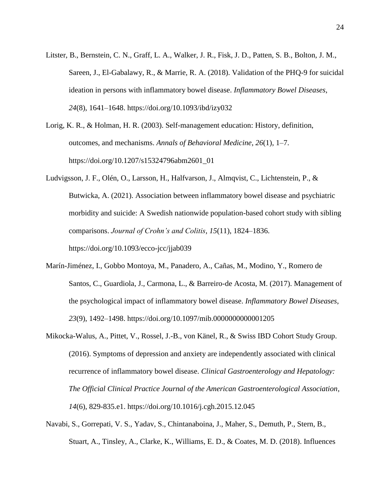- Litster, B., Bernstein, C. N., Graff, L. A., Walker, J. R., Fisk, J. D., Patten, S. B., Bolton, J. M., Sareen, J., El-Gabalawy, R., & Marrie, R. A. (2018). Validation of the PHQ-9 for suicidal ideation in persons with inflammatory bowel disease. *Inflammatory Bowel Diseases*, *24*(8), 1641–1648. https://doi.org/10.1093/ibd/izy032
- Lorig, K. R., & Holman, H. R. (2003). Self-management education: History, definition, outcomes, and mechanisms. *Annals of Behavioral Medicine*, *26*(1), 1–7. https://doi.org/10.1207/s15324796abm2601\_01
- Ludvigsson, J. F., Olén, O., Larsson, H., Halfvarson, J., Almqvist, C., Lichtenstein, P., & Butwicka, A. (2021). Association between inflammatory bowel disease and psychiatric morbidity and suicide: A Swedish nationwide population-based cohort study with sibling comparisons. *Journal of Crohn's and Colitis*, *15*(11), 1824–1836. https://doi.org/10.1093/ecco-jcc/jjab039
- Marín-Jiménez, I., Gobbo Montoya, M., Panadero, A., Cañas, M., Modino, Y., Romero de Santos, C., Guardiola, J., Carmona, L., & Barreiro-de Acosta, M. (2017). Management of the psychological impact of inflammatory bowel disease. *Inflammatory Bowel Diseases*, *23*(9), 1492–1498. https://doi.org/10.1097/mib.0000000000001205
- Mikocka-Walus, A., Pittet, V., Rossel, J.-B., von Känel, R., & Swiss IBD Cohort Study Group. (2016). Symptoms of depression and anxiety are independently associated with clinical recurrence of inflammatory bowel disease. *Clinical Gastroenterology and Hepatology: The Official Clinical Practice Journal of the American Gastroenterological Association*, *14*(6), 829-835.e1. https://doi.org/10.1016/j.cgh.2015.12.045
- Navabi, S., Gorrepati, V. S., Yadav, S., Chintanaboina, J., Maher, S., Demuth, P., Stern, B., Stuart, A., Tinsley, A., Clarke, K., Williams, E. D., & Coates, M. D. (2018). Influences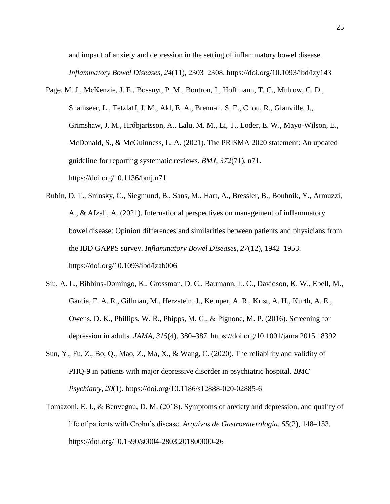and impact of anxiety and depression in the setting of inflammatory bowel disease. *Inflammatory Bowel Diseases*, *24*(11), 2303–2308. https://doi.org/10.1093/ibd/izy143

- Page, M. J., McKenzie, J. E., Bossuyt, P. M., Boutron, I., Hoffmann, T. C., Mulrow, C. D., Shamseer, L., Tetzlaff, J. M., Akl, E. A., Brennan, S. E., Chou, R., Glanville, J., Grimshaw, J. M., Hróbjartsson, A., Lalu, M. M., Li, T., Loder, E. W., Mayo-Wilson, E., McDonald, S., & McGuinness, L. A. (2021). The PRISMA 2020 statement: An updated guideline for reporting systematic reviews. *BMJ*, *372*(71), n71. https://doi.org/10.1136/bmj.n71
- Rubin, D. T., Sninsky, C., Siegmund, B., Sans, M., Hart, A., Bressler, B., Bouhnik, Y., Armuzzi, A., & Afzali, A. (2021). International perspectives on management of inflammatory bowel disease: Opinion differences and similarities between patients and physicians from the IBD GAPPS survey. *Inflammatory Bowel Diseases*, *27*(12), 1942–1953. https://doi.org/10.1093/ibd/izab006
- Siu, A. L., Bibbins-Domingo, K., Grossman, D. C., Baumann, L. C., Davidson, K. W., Ebell, M., García, F. A. R., Gillman, M., Herzstein, J., Kemper, A. R., Krist, A. H., Kurth, A. E., Owens, D. K., Phillips, W. R., Phipps, M. G., & Pignone, M. P. (2016). Screening for depression in adults. *JAMA*, *315*(4), 380–387. https://doi.org/10.1001/jama.2015.18392
- Sun, Y., Fu, Z., Bo, Q., Mao, Z., Ma, X., & Wang, C. (2020). The reliability and validity of PHQ-9 in patients with major depressive disorder in psychiatric hospital. *BMC Psychiatry*, *20*(1). https://doi.org/10.1186/s12888-020-02885-6
- Tomazoni, E. I., & Benvegnù, D. M. (2018). Symptoms of anxiety and depression, and quality of life of patients with Crohn's disease. *Arquivos de Gastroenterologia*, *55*(2), 148–153. https://doi.org/10.1590/s0004-2803.201800000-26